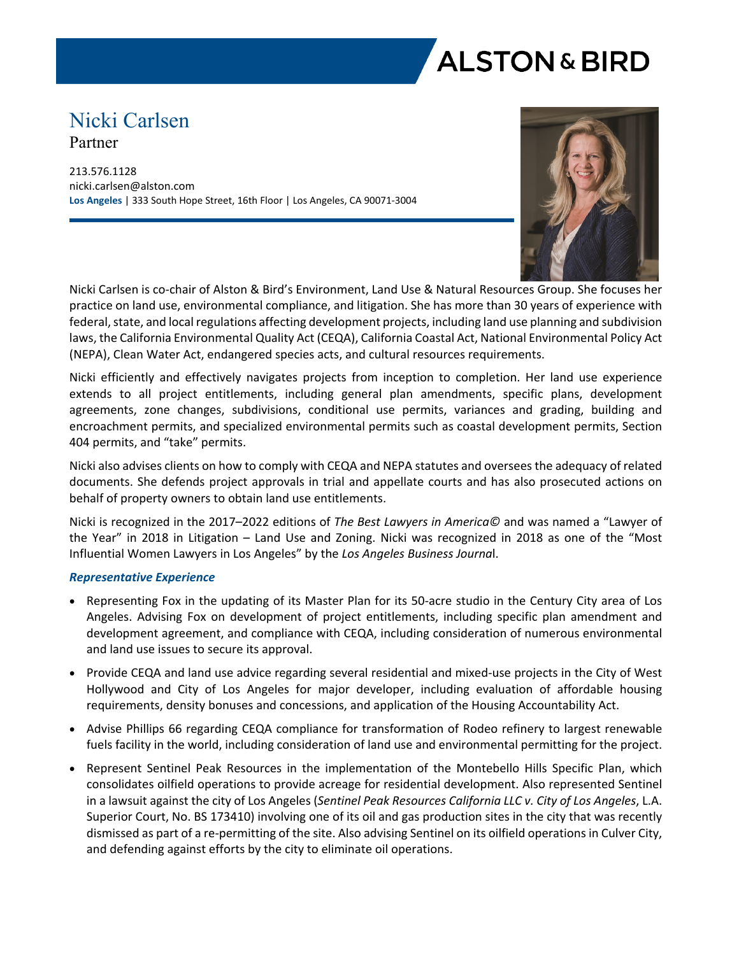

# Nicki Carlsen Partner

213.576.1128 nicki.carlsen@alston.com **Los Angeles** | 333 South Hope Street, 16th Floor | Los Angeles, CA 90071-3004



Nicki Carlsen is co-chair of Alston & Bird's Environment, Land Use & Natural Resources Group. She focuses her practice on land use, environmental compliance, and litigation. She has more than 30 years of experience with federal, state, and local regulations affecting development projects, including land use planning and subdivision laws, the California Environmental Quality Act (CEQA), California Coastal Act, National Environmental Policy Act (NEPA), Clean Water Act, endangered species acts, and cultural resources requirements.

Nicki efficiently and effectively navigates projects from inception to completion. Her land use experience extends to all project entitlements, including general plan amendments, specific plans, development agreements, zone changes, subdivisions, conditional use permits, variances and grading, building and encroachment permits, and specialized environmental permits such as coastal development permits, Section 404 permits, and "take" permits.

Nicki also advises clients on how to comply with CEQA and NEPA statutes and oversees the adequacy of related documents. She defends project approvals in trial and appellate courts and has also prosecuted actions on behalf of property owners to obtain land use entitlements.

Nicki is recognized in the 2017–2022 editions of *The Best Lawyers in America©* and was named a "Lawyer of the Year" in 2018 in Litigation – Land Use and Zoning. Nicki was recognized in 2018 as one of the "Most Influential Women Lawyers in Los Angeles" by the *Los Angeles Business Journa*l.

#### *Representative Experience*

- Representing Fox in the updating of its Master Plan for its 50-acre studio in the Century City area of Los Angeles. Advising Fox on development of project entitlements, including specific plan amendment and development agreement, and compliance with CEQA, including consideration of numerous environmental and land use issues to secure its approval.
- Provide CEQA and land use advice regarding several residential and mixed-use projects in the City of West Hollywood and City of Los Angeles for major developer, including evaluation of affordable housing requirements, density bonuses and concessions, and application of the Housing Accountability Act.
- Advise Phillips 66 regarding CEQA compliance for transformation of Rodeo refinery to largest renewable fuels facility in the world, including consideration of land use and environmental permitting for the project.
- Represent Sentinel Peak Resources in the implementation of the Montebello Hills Specific Plan, which consolidates oilfield operations to provide acreage for residential development. Also represented Sentinel in a lawsuit against the city of Los Angeles (*Sentinel Peak Resources California LLC v. City of Los Angeles*, L.A. Superior Court, No. BS 173410) involving one of its oil and gas production sites in the city that was recently dismissed as part of a re-permitting of the site. Also advising Sentinel on its oilfield operations in Culver City, and defending against efforts by the city to eliminate oil operations.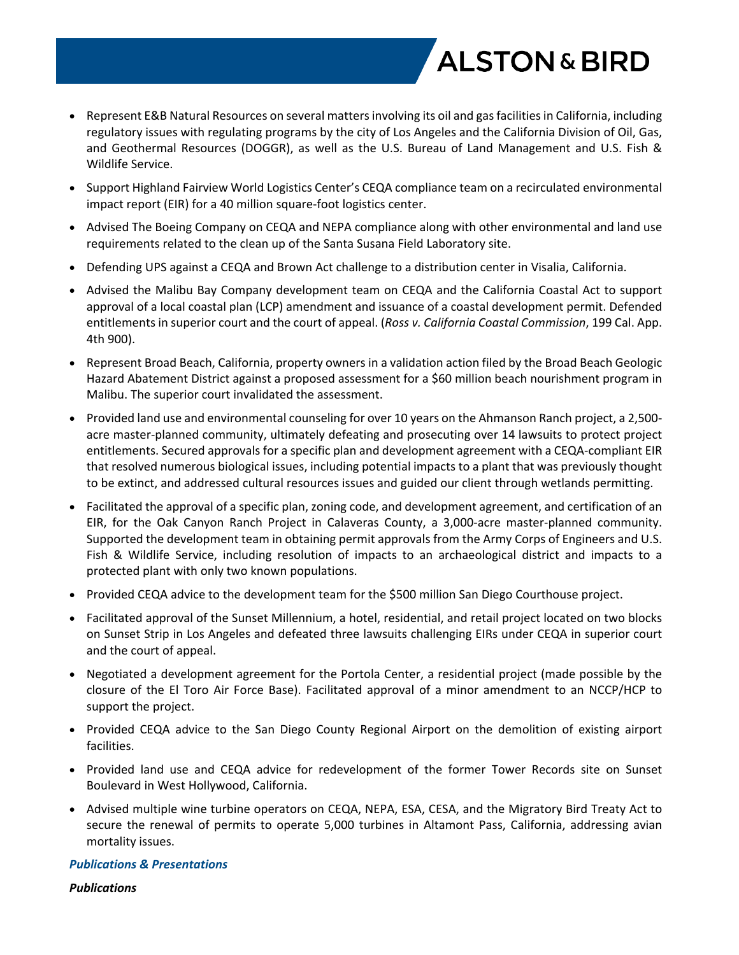

- Represent E&B Natural Resources on several matters involving its oil and gas facilities in California, including regulatory issues with regulating programs by the city of Los Angeles and the California Division of Oil, Gas, and Geothermal Resources (DOGGR), as well as the U.S. Bureau of Land Management and U.S. Fish & Wildlife Service.
- Support Highland Fairview World Logistics Center's CEQA compliance team on a recirculated environmental impact report (EIR) for a 40 million square-foot logistics center.
- Advised The Boeing Company on CEQA and NEPA compliance along with other environmental and land use requirements related to the clean up of the Santa Susana Field Laboratory site.
- Defending UPS against a CEQA and Brown Act challenge to a distribution center in Visalia, California.
- Advised the Malibu Bay Company development team on CEQA and the California Coastal Act to support approval of a local coastal plan (LCP) amendment and issuance of a coastal development permit. Defended entitlements in superior court and the court of appeal. (*Ross v. California Coastal Commission*, 199 Cal. App. 4th 900).
- Represent Broad Beach, California, property owners in a validation action filed by the Broad Beach Geologic Hazard Abatement District against a proposed assessment for a \$60 million beach nourishment program in Malibu. The superior court invalidated the assessment.
- Provided land use and environmental counseling for over 10 years on the Ahmanson Ranch project, a 2,500acre master-planned community, ultimately defeating and prosecuting over 14 lawsuits to protect project entitlements. Secured approvals for a specific plan and development agreement with a CEQA-compliant EIR that resolved numerous biological issues, including potential impacts to a plant that was previously thought to be extinct, and addressed cultural resources issues and guided our client through wetlands permitting.
- Facilitated the approval of a specific plan, zoning code, and development agreement, and certification of an EIR, for the Oak Canyon Ranch Project in Calaveras County, a 3,000-acre master-planned community. Supported the development team in obtaining permit approvals from the Army Corps of Engineers and U.S. Fish & Wildlife Service, including resolution of impacts to an archaeological district and impacts to a protected plant with only two known populations.
- Provided CEQA advice to the development team for the \$500 million San Diego Courthouse project.
- Facilitated approval of the Sunset Millennium, a hotel, residential, and retail project located on two blocks on Sunset Strip in Los Angeles and defeated three lawsuits challenging EIRs under CEQA in superior court and the court of appeal.
- Negotiated a development agreement for the Portola Center, a residential project (made possible by the closure of the El Toro Air Force Base). Facilitated approval of a minor amendment to an NCCP/HCP to support the project.
- Provided CEQA advice to the San Diego County Regional Airport on the demolition of existing airport facilities.
- Provided land use and CEQA advice for redevelopment of the former Tower Records site on Sunset Boulevard in West Hollywood, California.
- Advised multiple wine turbine operators on CEQA, NEPA, ESA, CESA, and the Migratory Bird Treaty Act to secure the renewal of permits to operate 5,000 turbines in Altamont Pass, California, addressing avian mortality issues.

#### *Publications & Presentations*

*Publications*